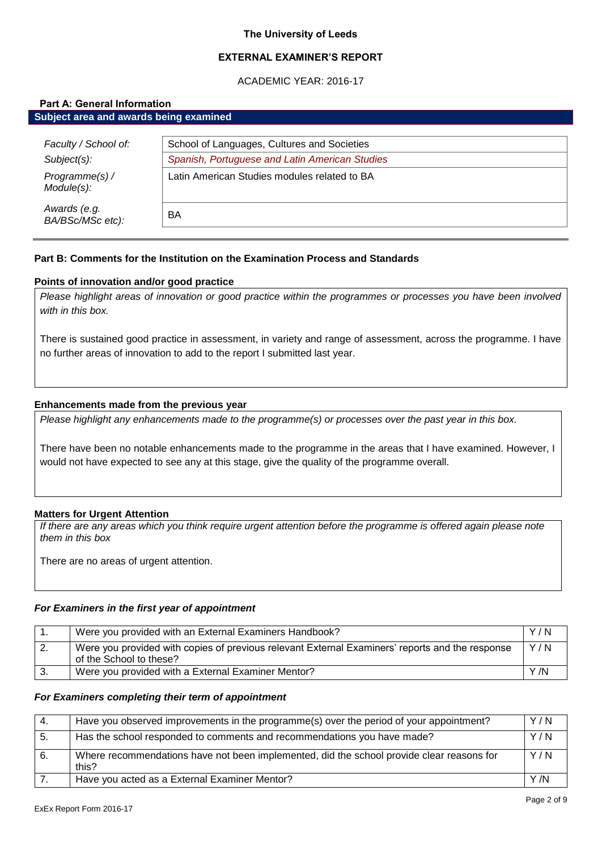# **The University of Leeds**

# **EXTERNAL EXAMINER'S REPORT**

ACADEMIC YEAR: 2016-17

# **Part A: General Information**

| <b>Subject area and awards being examined</b> |                                                |  |
|-----------------------------------------------|------------------------------------------------|--|
| Faculty / School of:                          | School of Languages, Cultures and Societies    |  |
| $Subject(s)$ :                                | Spanish, Portuguese and Latin American Studies |  |
|                                               |                                                |  |
| Programme(s) /<br>Module(s):                  | Latin American Studies modules related to BA   |  |
| Awards (e.g.<br>BA/BSc/MSc etc):              | BA                                             |  |

# **Part B: Comments for the Institution on the Examination Process and Standards**

# **Points of innovation and/or good practice**

*Please highlight areas of innovation or good practice within the programmes or processes you have been involved with in this box.*

There is sustained good practice in assessment, in variety and range of assessment, across the programme. I have no further areas of innovation to add to the report I submitted last year.

# **Enhancements made from the previous year**

*Please highlight any enhancements made to the programme(s) or processes over the past year in this box.*

There have been no notable enhancements made to the programme in the areas that I have examined. However, I would not have expected to see any at this stage, give the quality of the programme overall.

# **Matters for Urgent Attention**

*If there are any areas which you think require urgent attention before the programme is offered again please note them in this box*

There are no areas of urgent attention.

### *For Examiners in the first year of appointment*

| Were you provided with an External Examiners Handbook?                                                                     | Y/N |
|----------------------------------------------------------------------------------------------------------------------------|-----|
| Were you provided with copies of previous relevant External Examiners' reports and the response<br>of the School to these? | Y/N |
| Were you provided with a External Examiner Mentor?                                                                         | Y/N |

### *For Examiners completing their term of appointment*

| -4. | Have you observed improvements in the programme(s) over the period of your appointment?            | Y/N |
|-----|----------------------------------------------------------------------------------------------------|-----|
| 5.  | Has the school responded to comments and recommendations you have made?                            | Y/N |
| 6.  | Where recommendations have not been implemented, did the school provide clear reasons for<br>this? | Y/N |
|     | Have you acted as a External Examiner Mentor?                                                      | Y/N |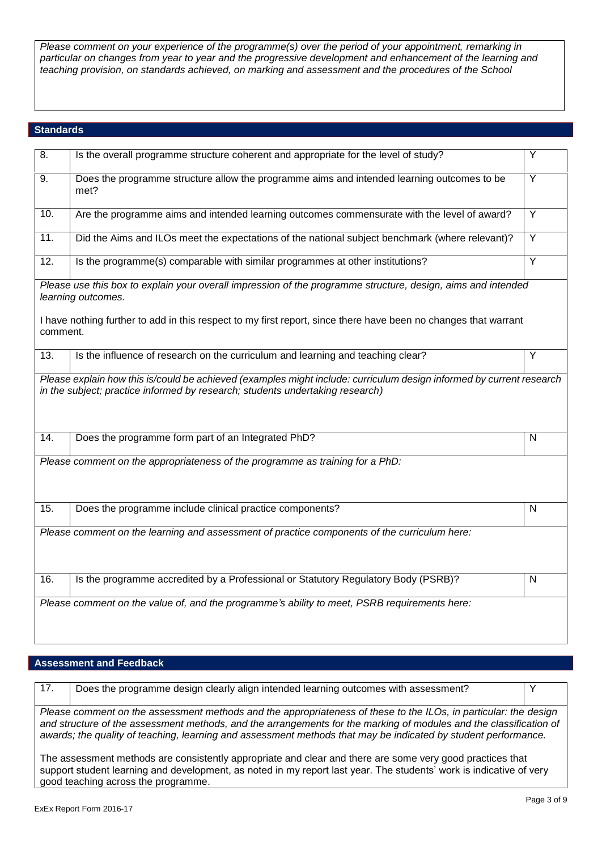*Please comment on your experience of the programme(s) over the period of your appointment, remarking in particular on changes from year to year and the progressive development and enhancement of the learning and teaching provision, on standards achieved, on marking and assessment and the procedures of the School*

# **Standards**

| $\overline{8}$ .  | Is the overall programme structure coherent and appropriate for the level of study?                                                                                                                   | Ÿ              |
|-------------------|-------------------------------------------------------------------------------------------------------------------------------------------------------------------------------------------------------|----------------|
| 9.                | Does the programme structure allow the programme aims and intended learning outcomes to be<br>met?                                                                                                    | Y              |
| 10.               | Are the programme aims and intended learning outcomes commensurate with the level of award?                                                                                                           | $\overline{Y}$ |
| $\overline{11}$ . | Did the Aims and ILOs meet the expectations of the national subject benchmark (where relevant)?                                                                                                       | $\overline{Y}$ |
| 12.               | Is the programme(s) comparable with similar programmes at other institutions?                                                                                                                         | Y              |
|                   | Please use this box to explain your overall impression of the programme structure, design, aims and intended<br>learning outcomes.                                                                    |                |
| comment.          | I have nothing further to add in this respect to my first report, since there have been no changes that warrant                                                                                       |                |
| $\overline{13}$ . | Is the influence of research on the curriculum and learning and teaching clear?                                                                                                                       | Y              |
|                   | Please explain how this is/could be achieved (examples might include: curriculum design informed by current research<br>in the subject; practice informed by research; students undertaking research) |                |
| 14.               | Does the programme form part of an Integrated PhD?                                                                                                                                                    | N              |
|                   | Please comment on the appropriateness of the programme as training for a PhD:                                                                                                                         |                |
| 15.               | Does the programme include clinical practice components?                                                                                                                                              | $\mathsf{N}$   |
|                   | Please comment on the learning and assessment of practice components of the curriculum here:                                                                                                          |                |
| 16.               | Is the programme accredited by a Professional or Statutory Regulatory Body (PSRB)?                                                                                                                    | N              |
|                   | Please comment on the value of, and the programme's ability to meet, PSRB requirements here:                                                                                                          |                |

# **Assessment and Feedback**

17. Does the programme design clearly align intended learning outcomes with assessment? Y *Please comment on the assessment methods and the appropriateness of these to the ILOs, in particular: the design and structure of the assessment methods, and the arrangements for the marking of modules and the classification of awards; the quality of teaching, learning and assessment methods that may be indicated by student performance.*

The assessment methods are consistently appropriate and clear and there are some very good practices that support student learning and development, as noted in my report last year. The students' work is indicative of very good teaching across the programme.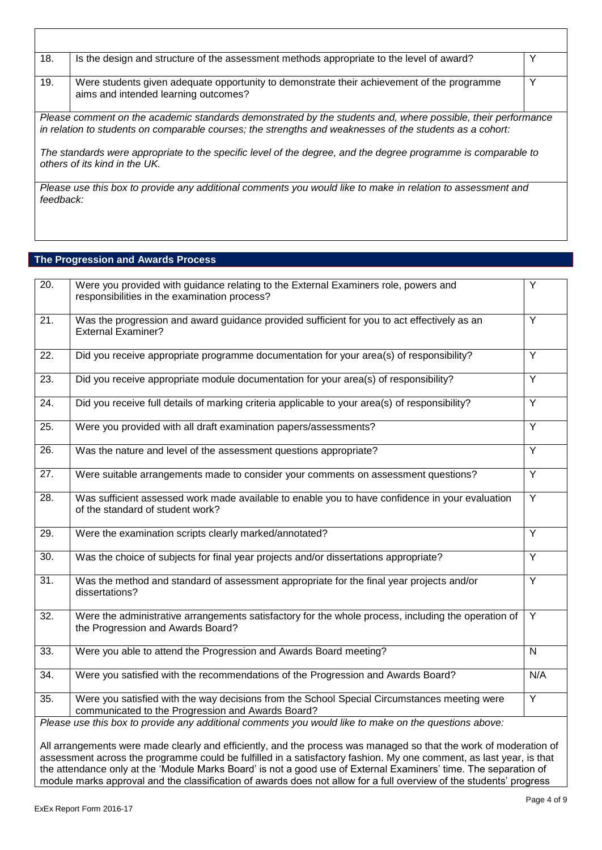| 18.       | Is the design and structure of the assessment methods appropriate to the level of award?                                                                                                                                 |   |
|-----------|--------------------------------------------------------------------------------------------------------------------------------------------------------------------------------------------------------------------------|---|
| 19.       | Were students given adequate opportunity to demonstrate their achievement of the programme<br>aims and intended learning outcomes?                                                                                       | Υ |
|           | Please comment on the academic standards demonstrated by the students and, where possible, their performance<br>in relation to students on comparable courses; the strengths and weaknesses of the students as a cohort: |   |
|           | The standards were appropriate to the specific level of the degree, and the degree programme is comparable to<br>others of its kind in the UK.                                                                           |   |
| feedback: | Please use this box to provide any additional comments you would like to make in relation to assessment and                                                                                                              |   |

# **The Progression and Awards Process**

Г

| 20.               | Were you provided with guidance relating to the External Examiners role, powers and<br>responsibilities in the examination process?               | Y              |
|-------------------|---------------------------------------------------------------------------------------------------------------------------------------------------|----------------|
| 21.               | Was the progression and award guidance provided sufficient for you to act effectively as an<br><b>External Examiner?</b>                          | $\overline{Y}$ |
| 22.               | Did you receive appropriate programme documentation for your area(s) of responsibility?                                                           | $\overline{Y}$ |
| 23.               | Did you receive appropriate module documentation for your area(s) of responsibility?                                                              | Y              |
| 24.               | Did you receive full details of marking criteria applicable to your area(s) of responsibility?                                                    | $\overline{Y}$ |
| $\overline{25}$ . | Were you provided with all draft examination papers/assessments?                                                                                  | $\overline{Y}$ |
| 26.               | Was the nature and level of the assessment questions appropriate?                                                                                 | $\overline{Y}$ |
| 27.               | Were suitable arrangements made to consider your comments on assessment questions?                                                                | $\overline{Y}$ |
| $\overline{28}$ . | Was sufficient assessed work made available to enable you to have confidence in your evaluation<br>of the standard of student work?               | $\overline{Y}$ |
| 29.               | Were the examination scripts clearly marked/annotated?                                                                                            | $\overline{Y}$ |
| 30.               | Was the choice of subjects for final year projects and/or dissertations appropriate?                                                              | $\overline{Y}$ |
| $\overline{31}$ . | Was the method and standard of assessment appropriate for the final year projects and/or<br>dissertations?                                        | $\overline{Y}$ |
| $\overline{32}$ . | Were the administrative arrangements satisfactory for the whole process, including the operation of<br>the Progression and Awards Board?          | $\overline{Y}$ |
| $\overline{33}$ . | Were you able to attend the Progression and Awards Board meeting?                                                                                 | $\mathsf{N}$   |
| $\overline{34}$ . | Were you satisfied with the recommendations of the Progression and Awards Board?                                                                  | N/A            |
| $\overline{35}$ . | Were you satisfied with the way decisions from the School Special Circumstances meeting were<br>communicated to the Progression and Awards Board? | $\overline{Y}$ |
|                   | Please use this box to provide any additional comments you would like to make on the questions above:                                             |                |
|                   | All arrangements were made clearly and efficiently, and the process was managed so that the work of moderation of                                 |                |

assessment across the programme could be fulfilled in a satisfactory fashion. My one comment, as last year, is that the attendance only at the 'Module Marks Board' is not a good use of External Examiners' time. The separation of module marks approval and the classification of awards does not allow for a full overview of the students' progress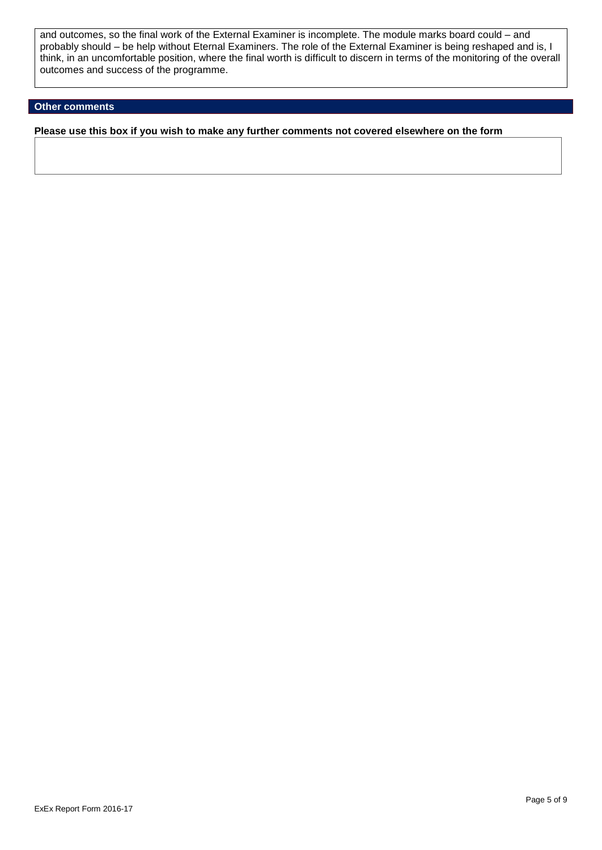and outcomes, so the final work of the External Examiner is incomplete. The module marks board could – and probably should – be help without Eternal Examiners. The role of the External Examiner is being reshaped and is, I think, in an uncomfortable position, where the final worth is difficult to discern in terms of the monitoring of the overall outcomes and success of the programme.

# **Other comments**

**Please use this box if you wish to make any further comments not covered elsewhere on the form**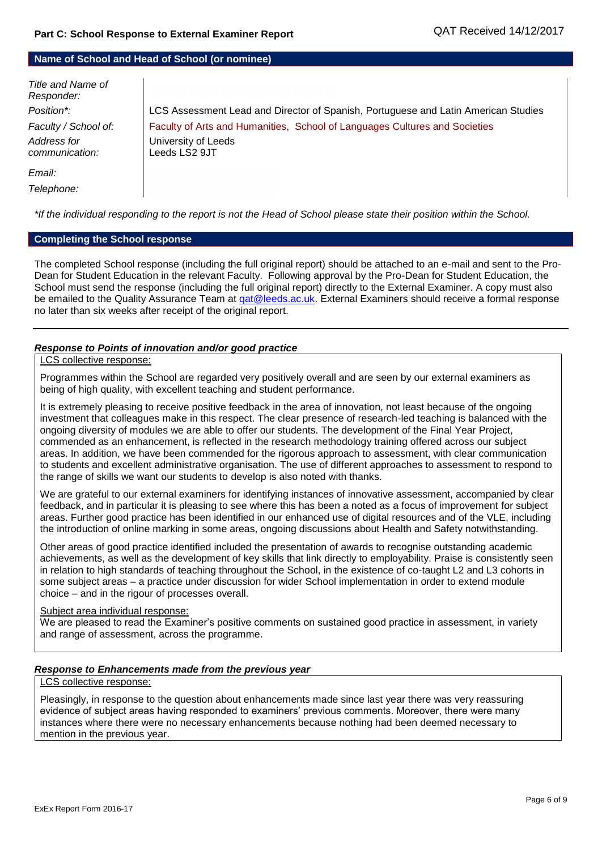### **Name of School and Head of School (or nominee)**

| Title and Name of<br>Responder: |                                                                                    |
|---------------------------------|------------------------------------------------------------------------------------|
| Position*:                      | LCS Assessment Lead and Director of Spanish, Portuguese and Latin American Studies |
| Faculty / School of:            | Faculty of Arts and Humanities, School of Languages Cultures and Societies         |
| Address for<br>communication:   | University of Leeds<br>Leeds LS2 9JT                                               |
| Email:                          |                                                                                    |
| Telephone:                      |                                                                                    |

*\*If the individual responding to the report is not the Head of School please state their position within the School.*

### **Completing the School response**

The completed School response (including the full original report) should be attached to an e-mail and sent to the Pro-Dean for Student Education in the relevant Faculty. Following approval by the Pro-Dean for Student Education, the School must send the response (including the full original report) directly to the External Examiner. A copy must also be emailed to the Quality Assurance Team at gat@leeds.ac.uk. External Examiners should receive a formal response no later than six weeks after receipt of the original report.

### *Response to Points of innovation and/or good practice*

### LCS collective response:

Programmes within the School are regarded very positively overall and are seen by our external examiners as being of high quality, with excellent teaching and student performance.

It is extremely pleasing to receive positive feedback in the area of innovation, not least because of the ongoing investment that colleagues make in this respect. The clear presence of research-led teaching is balanced with the ongoing diversity of modules we are able to offer our students. The development of the Final Year Project, commended as an enhancement, is reflected in the research methodology training offered across our subject areas. In addition, we have been commended for the rigorous approach to assessment, with clear communication to students and excellent administrative organisation. The use of different approaches to assessment to respond to the range of skills we want our students to develop is also noted with thanks.

We are grateful to our external examiners for identifying instances of innovative assessment, accompanied by clear feedback, and in particular it is pleasing to see where this has been a noted as a focus of improvement for subject areas. Further good practice has been identified in our enhanced use of digital resources and of the VLE, including the introduction of online marking in some areas, ongoing discussions about Health and Safety notwithstanding.

Other areas of good practice identified included the presentation of awards to recognise outstanding academic achievements, as well as the development of key skills that link directly to employability. Praise is consistently seen in relation to high standards of teaching throughout the School, in the existence of co-taught L2 and L3 cohorts in some subject areas – a practice under discussion for wider School implementation in order to extend module choice – and in the rigour of processes overall.

### Subject area individual response:

We are pleased to read the Examiner's positive comments on sustained good practice in assessment, in variety and range of assessment, across the programme.

### *Response to Enhancements made from the previous year*

### LCS collective response:

Pleasingly, in response to the question about enhancements made since last year there was very reassuring evidence of subject areas having responded to examiners' previous comments. Moreover, there were many instances where there were no necessary enhancements because nothing had been deemed necessary to mention in the previous year.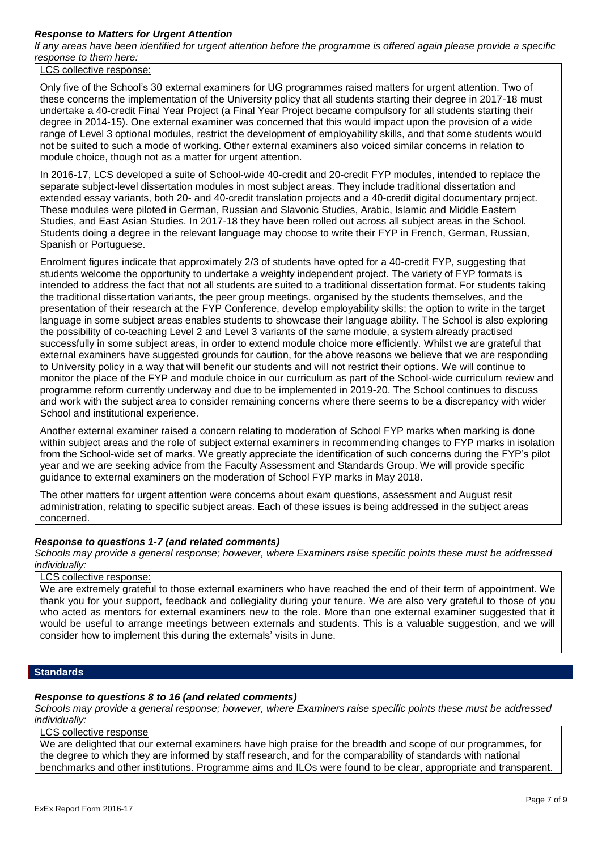# *Response to Matters for Urgent Attention*

*If any areas have been identified for urgent attention before the programme is offered again please provide a specific response to them here:*

LCS collective response:

Only five of the School's 30 external examiners for UG programmes raised matters for urgent attention. Two of these concerns the implementation of the University policy that all students starting their degree in 2017-18 must undertake a 40-credit Final Year Project (a Final Year Project became compulsory for all students starting their degree in 2014-15). One external examiner was concerned that this would impact upon the provision of a wide range of Level 3 optional modules, restrict the development of employability skills, and that some students would not be suited to such a mode of working. Other external examiners also voiced similar concerns in relation to module choice, though not as a matter for urgent attention.

In 2016-17, LCS developed a suite of School-wide 40-credit and 20-credit FYP modules, intended to replace the separate subject-level dissertation modules in most subject areas. They include traditional dissertation and extended essay variants, both 20- and 40-credit translation projects and a 40-credit digital documentary project. These modules were piloted in German, Russian and Slavonic Studies, Arabic, Islamic and Middle Eastern Studies, and East Asian Studies. In 2017-18 they have been rolled out across all subject areas in the School. Students doing a degree in the relevant language may choose to write their FYP in French, German, Russian, Spanish or Portuguese.

Enrolment figures indicate that approximately 2/3 of students have opted for a 40-credit FYP, suggesting that students welcome the opportunity to undertake a weighty independent project. The variety of FYP formats is intended to address the fact that not all students are suited to a traditional dissertation format. For students taking the traditional dissertation variants, the peer group meetings, organised by the students themselves, and the presentation of their research at the FYP Conference, develop employability skills; the option to write in the target language in some subject areas enables students to showcase their language ability. The School is also exploring the possibility of co-teaching Level 2 and Level 3 variants of the same module, a system already practised successfully in some subject areas, in order to extend module choice more efficiently. Whilst we are grateful that external examiners have suggested grounds for caution, for the above reasons we believe that we are responding to University policy in a way that will benefit our students and will not restrict their options. We will continue to monitor the place of the FYP and module choice in our curriculum as part of the School-wide curriculum review and programme reform currently underway and due to be implemented in 2019-20. The School continues to discuss and work with the subject area to consider remaining concerns where there seems to be a discrepancy with wider School and institutional experience.

Another external examiner raised a concern relating to moderation of School FYP marks when marking is done within subject areas and the role of subject external examiners in recommending changes to FYP marks in isolation from the School-wide set of marks. We greatly appreciate the identification of such concerns during the FYP's pilot year and we are seeking advice from the Faculty Assessment and Standards Group. We will provide specific guidance to external examiners on the moderation of School FYP marks in May 2018.

The other matters for urgent attention were concerns about exam questions, assessment and August resit administration, relating to specific subject areas. Each of these issues is being addressed in the subject areas concerned.

### *Response to questions 1-7 (and related comments)*

*Schools may provide a general response; however, where Examiners raise specific points these must be addressed individually:*

# LCS collective response:

We are extremely grateful to those external examiners who have reached the end of their term of appointment. We thank you for your support, feedback and collegiality during your tenure. We are also very grateful to those of you who acted as mentors for external examiners new to the role. More than one external examiner suggested that it would be useful to arrange meetings between externals and students. This is a valuable suggestion, and we will consider how to implement this during the externals' visits in June.

# **Standards**

### *Response to questions 8 to 16 (and related comments)*

*Schools may provide a general response; however, where Examiners raise specific points these must be addressed individually:*

# LCS collective response

We are delighted that our external examiners have high praise for the breadth and scope of our programmes, for the degree to which they are informed by staff research, and for the comparability of standards with national benchmarks and other institutions. Programme aims and ILOs were found to be clear, appropriate and transparent.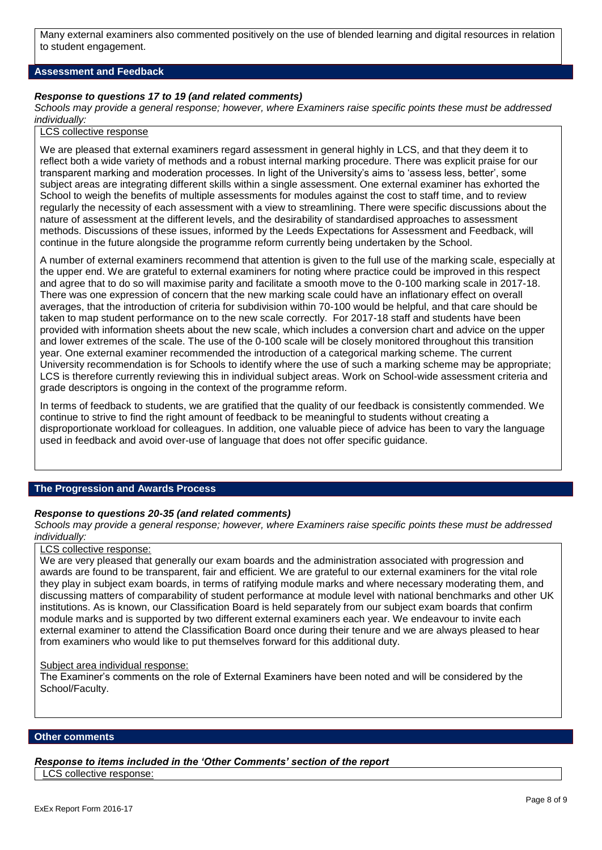Many external examiners also commented positively on the use of blended learning and digital resources in relation to student engagement.

# **Assessment and Feedback**

### *Response to questions 17 to 19 (and related comments)*

*Schools may provide a general response; however, where Examiners raise specific points these must be addressed individually:*

# LCS collective response

We are pleased that external examiners regard assessment in general highly in LCS, and that they deem it to reflect both a wide variety of methods and a robust internal marking procedure. There was explicit praise for our transparent marking and moderation processes. In light of the University's aims to 'assess less, better', some subject areas are integrating different skills within a single assessment. One external examiner has exhorted the School to weigh the benefits of multiple assessments for modules against the cost to staff time, and to review regularly the necessity of each assessment with a view to streamlining. There were specific discussions about the nature of assessment at the different levels, and the desirability of standardised approaches to assessment methods. Discussions of these issues, informed by the Leeds Expectations for Assessment and Feedback, will continue in the future alongside the programme reform currently being undertaken by the School.

A number of external examiners recommend that attention is given to the full use of the marking scale, especially at the upper end. We are grateful to external examiners for noting where practice could be improved in this respect and agree that to do so will maximise parity and facilitate a smooth move to the 0-100 marking scale in 2017-18. There was one expression of concern that the new marking scale could have an inflationary effect on overall averages, that the introduction of criteria for subdivision within 70-100 would be helpful, and that care should be taken to map student performance on to the new scale correctly. For 2017-18 staff and students have been provided with information sheets about the new scale, which includes a conversion chart and advice on the upper and lower extremes of the scale. The use of the 0-100 scale will be closely monitored throughout this transition year. One external examiner recommended the introduction of a categorical marking scheme. The current University recommendation is for Schools to identify where the use of such a marking scheme may be appropriate; LCS is therefore currently reviewing this in individual subject areas. Work on School-wide assessment criteria and grade descriptors is ongoing in the context of the programme reform.

In terms of feedback to students, we are gratified that the quality of our feedback is consistently commended. We continue to strive to find the right amount of feedback to be meaningful to students without creating a disproportionate workload for colleagues. In addition, one valuable piece of advice has been to vary the language used in feedback and avoid over-use of language that does not offer specific guidance.

### **The Progression and Awards Process**

### *Response to questions 20-35 (and related comments)*

*Schools may provide a general response; however, where Examiners raise specific points these must be addressed individually:*

# LCS collective response:

We are very pleased that generally our exam boards and the administration associated with progression and awards are found to be transparent, fair and efficient. We are grateful to our external examiners for the vital role they play in subject exam boards, in terms of ratifying module marks and where necessary moderating them, and discussing matters of comparability of student performance at module level with national benchmarks and other UK institutions. As is known, our Classification Board is held separately from our subject exam boards that confirm module marks and is supported by two different external examiners each year. We endeavour to invite each external examiner to attend the Classification Board once during their tenure and we are always pleased to hear from examiners who would like to put themselves forward for this additional duty.

#### Subject area individual response:

The Examiner's comments on the role of External Examiners have been noted and will be considered by the School/Faculty.

### **Other comments**

*Response to items included in the 'Other Comments' section of the report*

LCS collective response: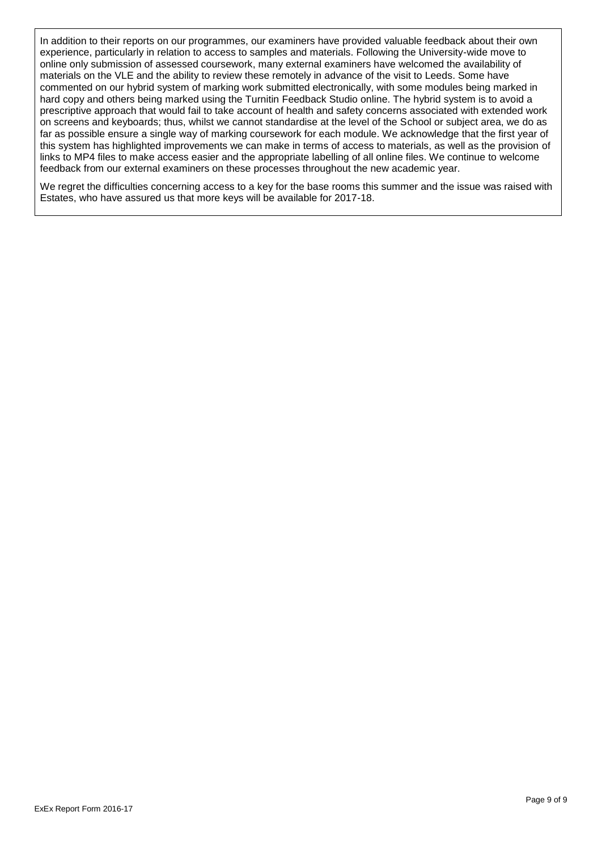In addition to their reports on our programmes, our examiners have provided valuable feedback about their own experience, particularly in relation to access to samples and materials. Following the University-wide move to online only submission of assessed coursework, many external examiners have welcomed the availability of materials on the VLE and the ability to review these remotely in advance of the visit to Leeds. Some have commented on our hybrid system of marking work submitted electronically, with some modules being marked in hard copy and others being marked using the Turnitin Feedback Studio online. The hybrid system is to avoid a prescriptive approach that would fail to take account of health and safety concerns associated with extended work on screens and keyboards; thus, whilst we cannot standardise at the level of the School or subject area, we do as far as possible ensure a single way of marking coursework for each module. We acknowledge that the first year of this system has highlighted improvements we can make in terms of access to materials, as well as the provision of links to MP4 files to make access easier and the appropriate labelling of all online files. We continue to welcome feedback from our external examiners on these processes throughout the new academic year.

We regret the difficulties concerning access to a key for the base rooms this summer and the issue was raised with Estates, who have assured us that more keys will be available for 2017-18.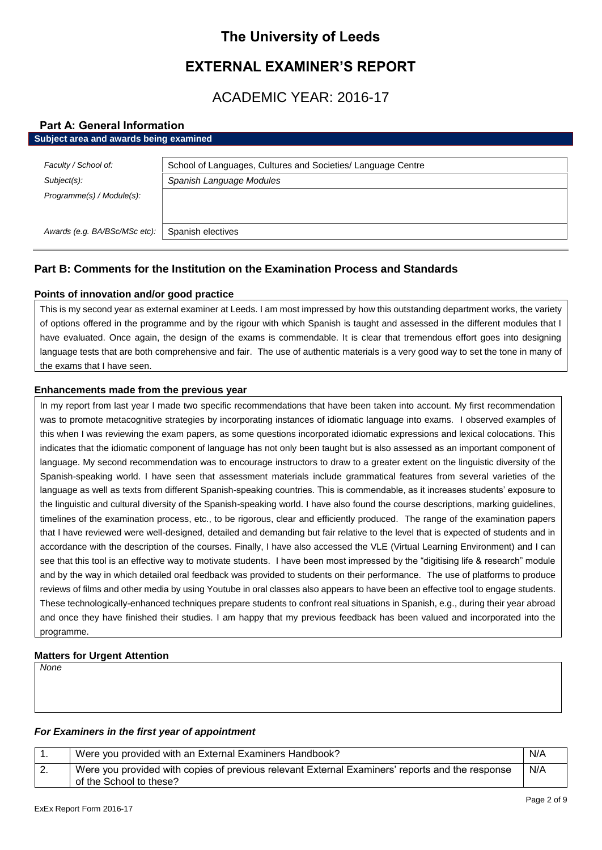# **The University of Leeds**

# **EXTERNAL EXAMINER'S REPORT**

# ACADEMIC YEAR: 2016-17

# **Part A: General Information**

| Subject area and awards being examined |                                                              |
|----------------------------------------|--------------------------------------------------------------|
|                                        |                                                              |
| Faculty / School of:                   | School of Languages, Cultures and Societies/ Language Centre |
| Subject(s):                            | Spanish Language Modules                                     |
| Programme(s) / Module(s):              |                                                              |
|                                        |                                                              |
|                                        |                                                              |
| Awards (e.g. BA/BSc/MSc etc):          | Spanish electives                                            |

# **Part B: Comments for the Institution on the Examination Process and Standards**

# **Points of innovation and/or good practice**

This is my second year as external examiner at Leeds. I am most impressed by how this outstanding department works, the variety of options offered in the programme and by the rigour with which Spanish is taught and assessed in the different modules that I have evaluated. Once again, the design of the exams is commendable. It is clear that tremendous effort goes into designing language tests that are both comprehensive and fair. The use of authentic materials is a very good way to set the tone in many of the exams that I have seen.

# **Enhancements made from the previous year**

In my report from last year I made two specific recommendations that have been taken into account. My first recommendation was to promote metacognitive strategies by incorporating instances of idiomatic language into exams. I observed examples of this when I was reviewing the exam papers, as some questions incorporated idiomatic expressions and lexical colocations. This indicates that the idiomatic component of language has not only been taught but is also assessed as an important component of language. My second recommendation was to encourage instructors to draw to a greater extent on the linguistic diversity of the Spanish-speaking world. I have seen that assessment materials include grammatical features from several varieties of the language as well as texts from different Spanish-speaking countries. This is commendable, as it increases students' exposure to the linguistic and cultural diversity of the Spanish-speaking world. I have also found the course descriptions, marking guidelines, timelines of the examination process, etc., to be rigorous, clear and efficiently produced. The range of the examination papers that I have reviewed were well-designed, detailed and demanding but fair relative to the level that is expected of students and in accordance with the description of the courses. Finally, I have also accessed the VLE (Virtual Learning Environment) and I can see that this tool is an effective way to motivate students. I have been most impressed by the "digitising life & research" module and by the way in which detailed oral feedback was provided to students on their performance. The use of platforms to produce reviews of films and other media by using Youtube in oral classes also appears to have been an effective tool to engage students. These technologically-enhanced techniques prepare students to confront real situations in Spanish, e.g., during their year abroad and once they have finished their studies. I am happy that my previous feedback has been valued and incorporated into the programme.

# **Matters for Urgent Attention**

*None*

# *For Examiners in the first year of appointment*

|    | Were you provided with an External Examiners Handbook?                                                                     | N/f |
|----|----------------------------------------------------------------------------------------------------------------------------|-----|
| Ζ. | Were you provided with copies of previous relevant External Examiners' reports and the response<br>of the School to these? | N/A |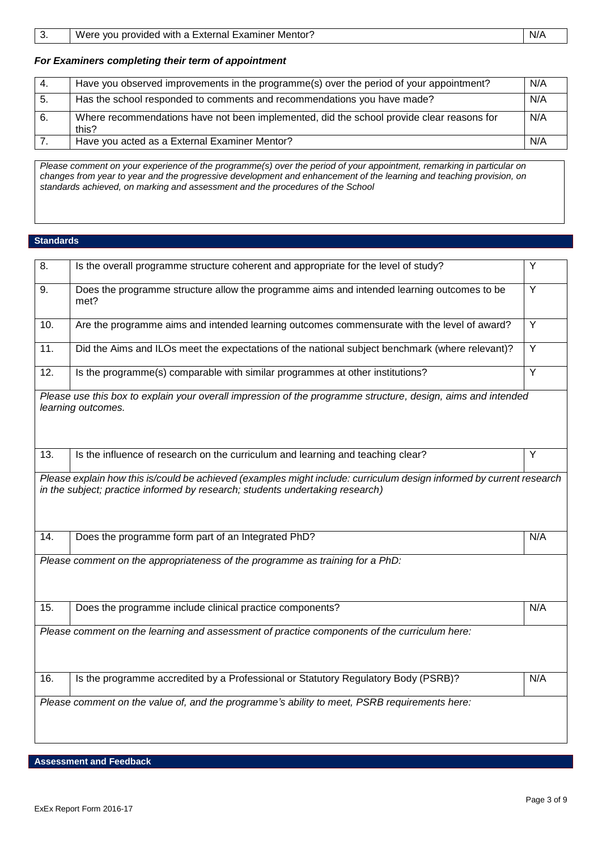# *For Examiners completing their term of appointment*

| -4. | Have you observed improvements in the programme(s) over the period of your appointment?            | N/A |
|-----|----------------------------------------------------------------------------------------------------|-----|
| -5. | Has the school responded to comments and recommendations you have made?                            | N/A |
| 6.  | Where recommendations have not been implemented, did the school provide clear reasons for<br>this? | N/A |
|     | Have you acted as a External Examiner Mentor?                                                      | N/A |

*Please comment on your experience of the programme(s) over the period of your appointment, remarking in particular on changes from year to year and the progressive development and enhancement of the learning and teaching provision, on standards achieved, on marking and assessment and the procedures of the School*

### **Standards**

| 8.                | Is the overall programme structure coherent and appropriate for the level of study?                                                                                                                   | Y              |
|-------------------|-------------------------------------------------------------------------------------------------------------------------------------------------------------------------------------------------------|----------------|
| 9.                | Does the programme structure allow the programme aims and intended learning outcomes to be<br>met?                                                                                                    | $\overline{Y}$ |
| 10.               | Are the programme aims and intended learning outcomes commensurate with the level of award?                                                                                                           | Y              |
| 11.               | Did the Aims and ILOs meet the expectations of the national subject benchmark (where relevant)?                                                                                                       | $\overline{Y}$ |
| $\overline{12}$ . | Is the programme(s) comparable with similar programmes at other institutions?                                                                                                                         | Y              |
|                   | Please use this box to explain your overall impression of the programme structure, design, aims and intended<br>learning outcomes.                                                                    |                |
| 13.               | Is the influence of research on the curriculum and learning and teaching clear?                                                                                                                       | Y              |
|                   | Please explain how this is/could be achieved (examples might include: curriculum design informed by current research<br>in the subject; practice informed by research; students undertaking research) |                |
| 14.               | Does the programme form part of an Integrated PhD?                                                                                                                                                    | N/A            |
|                   | Please comment on the appropriateness of the programme as training for a PhD:                                                                                                                         |                |
| 15.               | Does the programme include clinical practice components?                                                                                                                                              | N/A            |
|                   | Please comment on the learning and assessment of practice components of the curriculum here:                                                                                                          |                |
| 16.               | Is the programme accredited by a Professional or Statutory Regulatory Body (PSRB)?                                                                                                                    | N/A            |
|                   | Please comment on the value of, and the programme's ability to meet, PSRB requirements here:                                                                                                          |                |

**Assessment and Feedback**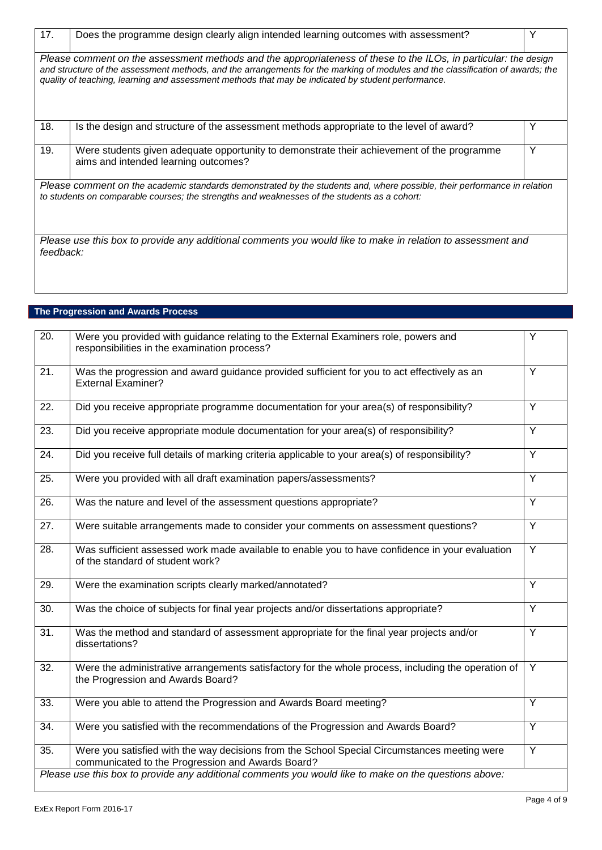| 17.       | Does the programme design clearly align intended learning outcomes with assessment?                                                                                                                                                                                                                                                                      |   |
|-----------|----------------------------------------------------------------------------------------------------------------------------------------------------------------------------------------------------------------------------------------------------------------------------------------------------------------------------------------------------------|---|
|           | Please comment on the assessment methods and the appropriateness of these to the ILOs, in particular: the design<br>and structure of the assessment methods, and the arrangements for the marking of modules and the classification of awards; the<br>quality of teaching, learning and assessment methods that may be indicated by student performance. |   |
| 18.       | Is the design and structure of the assessment methods appropriate to the level of award?                                                                                                                                                                                                                                                                 | v |
| 19.       | Were students given adequate opportunity to demonstrate their achievement of the programme<br>aims and intended learning outcomes?                                                                                                                                                                                                                       | Y |
|           | Please comment on the academic standards demonstrated by the students and, where possible, their performance in relation<br>to students on comparable courses; the strengths and weaknesses of the students as a cohort:                                                                                                                                 |   |
| feedback: | Please use this box to provide any additional comments you would like to make in relation to assessment and                                                                                                                                                                                                                                              |   |

# **The Progression and Awards Process**

| $\overline{20}$ . | Were you provided with guidance relating to the External Examiners role, powers and<br>responsibilities in the examination process?               | Y              |
|-------------------|---------------------------------------------------------------------------------------------------------------------------------------------------|----------------|
| 21.               | Was the progression and award guidance provided sufficient for you to act effectively as an<br><b>External Examiner?</b>                          | Y              |
| $\overline{22}$ . | Did you receive appropriate programme documentation for your area(s) of responsibility?                                                           | Y              |
| $\overline{23}$ . | Did you receive appropriate module documentation for your area(s) of responsibility?                                                              | Y              |
| 24.               | Did you receive full details of marking criteria applicable to your area(s) of responsibility?                                                    | $\overline{Y}$ |
| 25.               | Were you provided with all draft examination papers/assessments?                                                                                  | Y              |
| 26.               | Was the nature and level of the assessment questions appropriate?                                                                                 | Y              |
| $\overline{27}$ . | Were suitable arrangements made to consider your comments on assessment questions?                                                                | Y              |
| 28.               | Was sufficient assessed work made available to enable you to have confidence in your evaluation<br>of the standard of student work?               | $\overline{Y}$ |
| 29.               | Were the examination scripts clearly marked/annotated?                                                                                            | $\overline{Y}$ |
| $\overline{30}$ . | Was the choice of subjects for final year projects and/or dissertations appropriate?                                                              | $\overline{Y}$ |
| $\overline{31}$ . | Was the method and standard of assessment appropriate for the final year projects and/or<br>dissertations?                                        | $\overline{Y}$ |
| $\overline{32}$ . | Were the administrative arrangements satisfactory for the whole process, including the operation of<br>the Progression and Awards Board?          | Y              |
| 33.               | Were you able to attend the Progression and Awards Board meeting?                                                                                 | $\overline{Y}$ |
| 34.               | Were you satisfied with the recommendations of the Progression and Awards Board?                                                                  | Y              |
| 35.               | Were you satisfied with the way decisions from the School Special Circumstances meeting were<br>communicated to the Progression and Awards Board? | Y              |
|                   | Please use this box to provide any additional comments you would like to make on the questions above:                                             |                |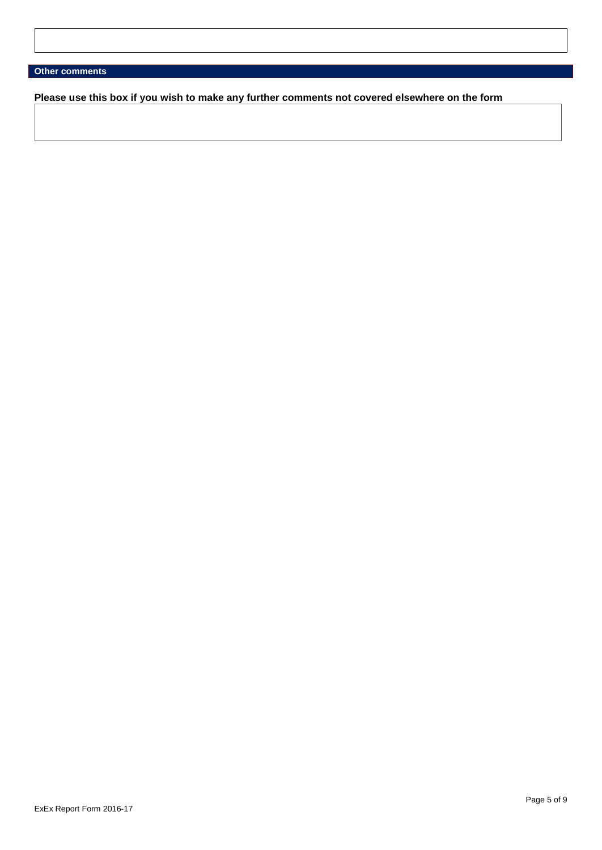# **Other comments**

**Please use this box if you wish to make any further comments not covered elsewhere on the form**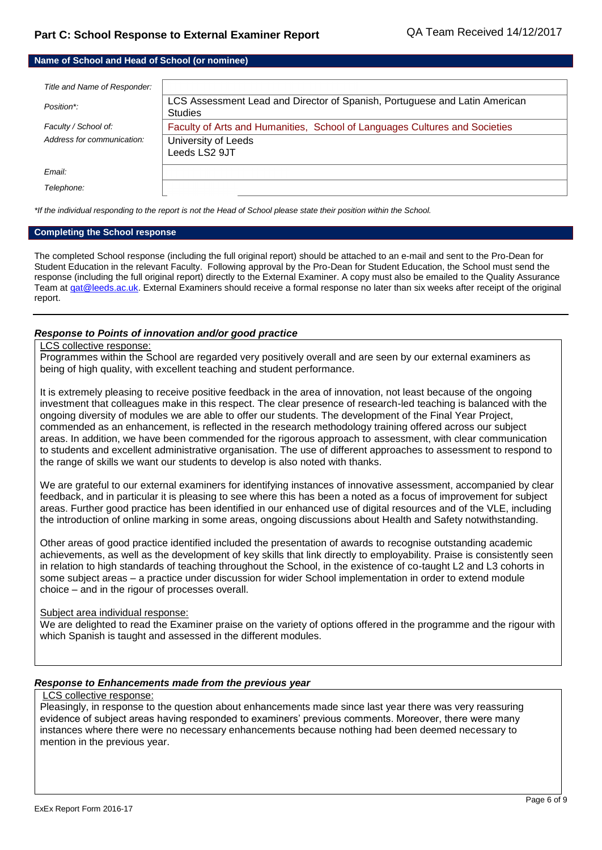# **Name of School and Head of School (or nominee)**

| Title and Name of Responder: |                                                                                              |
|------------------------------|----------------------------------------------------------------------------------------------|
| Position*:                   | LCS Assessment Lead and Director of Spanish, Portuguese and Latin American<br><b>Studies</b> |
| Faculty / School of:         | Faculty of Arts and Humanities, School of Languages Cultures and Societies                   |
| Address for communication:   | University of Leeds<br>Leeds LS2 9JT                                                         |
| Email:                       |                                                                                              |
| Telephone:                   |                                                                                              |

*\*If the individual responding to the report is not the Head of School please state their position within the School.*

### **Completing the School response**

The completed School response (including the full original report) should be attached to an e-mail and sent to the Pro-Dean for Student Education in the relevant Faculty. Following approval by the Pro-Dean for Student Education, the School must send the response (including the full original report) directly to the External Examiner. A copy must also be emailed to the Quality Assurance Team a[t qat@leeds.ac.uk.](mailto:qat@leeds.ac.uk) External Examiners should receive a formal response no later than six weeks after receipt of the original report.

### *Response to Points of innovation and/or good practice*

### LCS collective response:

Programmes within the School are regarded very positively overall and are seen by our external examiners as being of high quality, with excellent teaching and student performance.

It is extremely pleasing to receive positive feedback in the area of innovation, not least because of the ongoing investment that colleagues make in this respect. The clear presence of research-led teaching is balanced with the ongoing diversity of modules we are able to offer our students. The development of the Final Year Project, commended as an enhancement, is reflected in the research methodology training offered across our subject areas. In addition, we have been commended for the rigorous approach to assessment, with clear communication to students and excellent administrative organisation. The use of different approaches to assessment to respond to the range of skills we want our students to develop is also noted with thanks.

We are grateful to our external examiners for identifying instances of innovative assessment, accompanied by clear feedback, and in particular it is pleasing to see where this has been a noted as a focus of improvement for subject areas. Further good practice has been identified in our enhanced use of digital resources and of the VLE, including the introduction of online marking in some areas, ongoing discussions about Health and Safety notwithstanding.

Other areas of good practice identified included the presentation of awards to recognise outstanding academic achievements, as well as the development of key skills that link directly to employability. Praise is consistently seen in relation to high standards of teaching throughout the School, in the existence of co-taught L2 and L3 cohorts in some subject areas – a practice under discussion for wider School implementation in order to extend module choice – and in the rigour of processes overall.

### Subject area individual response:

We are delighted to read the Examiner praise on the variety of options offered in the programme and the rigour with which Spanish is taught and assessed in the different modules.

### *Response to Enhancements made from the previous year*

### LCS collective response:

Pleasingly, in response to the question about enhancements made since last year there was very reassuring evidence of subject areas having responded to examiners' previous comments. Moreover, there were many instances where there were no necessary enhancements because nothing had been deemed necessary to mention in the previous year.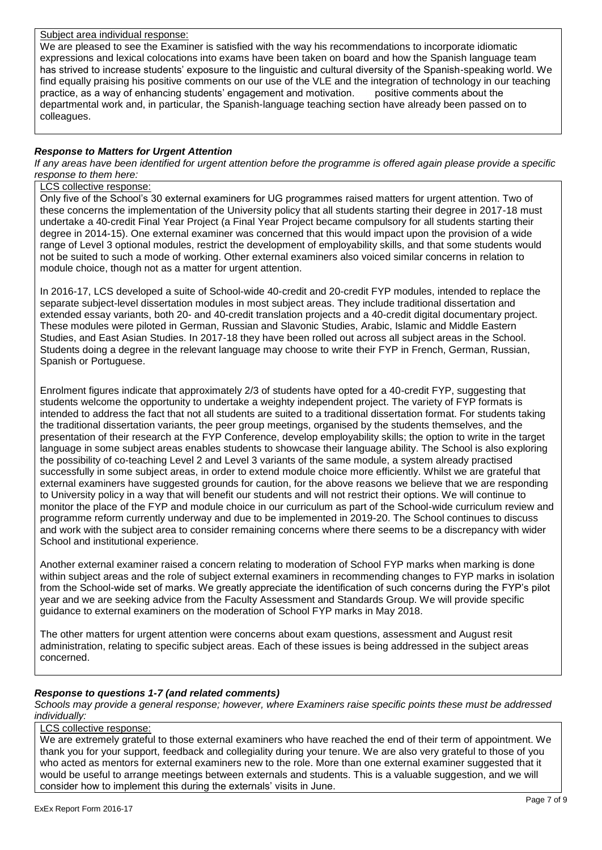# Subject area individual response:

We are pleased to see the Examiner is satisfied with the way his recommendations to incorporate idiomatic expressions and lexical colocations into exams have been taken on board and how the Spanish language team has strived to increase students' exposure to the linguistic and cultural diversity of the Spanish-speaking world. We find equally praising his positive comments on our use of the VLE and the integration of technology in our teaching practice, as a way of enhancing students' engagement and motivation. positive comments about the departmental work and, in particular, the Spanish-language teaching section have already been passed on to colleagues.

# *Response to Matters for Urgent Attention*

*If any areas have been identified for urgent attention before the programme is offered again please provide a specific response to them here:*

# LCS collective response:

Only five of the School's 30 external examiners for UG programmes raised matters for urgent attention. Two of these concerns the implementation of the University policy that all students starting their degree in 2017-18 must undertake a 40-credit Final Year Project (a Final Year Project became compulsory for all students starting their degree in 2014-15). One external examiner was concerned that this would impact upon the provision of a wide range of Level 3 optional modules, restrict the development of employability skills, and that some students would not be suited to such a mode of working. Other external examiners also voiced similar concerns in relation to module choice, though not as a matter for urgent attention.

In 2016-17, LCS developed a suite of School-wide 40-credit and 20-credit FYP modules, intended to replace the separate subject-level dissertation modules in most subject areas. They include traditional dissertation and extended essay variants, both 20- and 40-credit translation projects and a 40-credit digital documentary project. These modules were piloted in German, Russian and Slavonic Studies, Arabic, Islamic and Middle Eastern Studies, and East Asian Studies. In 2017-18 they have been rolled out across all subject areas in the School. Students doing a degree in the relevant language may choose to write their FYP in French, German, Russian, Spanish or Portuguese.

Enrolment figures indicate that approximately 2/3 of students have opted for a 40-credit FYP, suggesting that students welcome the opportunity to undertake a weighty independent project. The variety of FYP formats is intended to address the fact that not all students are suited to a traditional dissertation format. For students taking the traditional dissertation variants, the peer group meetings, organised by the students themselves, and the presentation of their research at the FYP Conference, develop employability skills; the option to write in the target language in some subject areas enables students to showcase their language ability. The School is also exploring the possibility of co-teaching Level 2 and Level 3 variants of the same module, a system already practised successfully in some subject areas, in order to extend module choice more efficiently. Whilst we are grateful that external examiners have suggested grounds for caution, for the above reasons we believe that we are responding to University policy in a way that will benefit our students and will not restrict their options. We will continue to monitor the place of the FYP and module choice in our curriculum as part of the School-wide curriculum review and programme reform currently underway and due to be implemented in 2019-20. The School continues to discuss and work with the subject area to consider remaining concerns where there seems to be a discrepancy with wider School and institutional experience.

Another external examiner raised a concern relating to moderation of School FYP marks when marking is done within subject areas and the role of subject external examiners in recommending changes to FYP marks in isolation from the School-wide set of marks. We greatly appreciate the identification of such concerns during the FYP's pilot year and we are seeking advice from the Faculty Assessment and Standards Group. We will provide specific guidance to external examiners on the moderation of School FYP marks in May 2018.

The other matters for urgent attention were concerns about exam questions, assessment and August resit administration, relating to specific subject areas. Each of these issues is being addressed in the subject areas concerned.

# *Response to questions 1-7 (and related comments)*

*Schools may provide a general response; however, where Examiners raise specific points these must be addressed individually:*

# LCS collective response:

We are extremely grateful to those external examiners who have reached the end of their term of appointment. We thank you for your support, feedback and collegiality during your tenure. We are also very grateful to those of you who acted as mentors for external examiners new to the role. More than one external examiner suggested that it would be useful to arrange meetings between externals and students. This is a valuable suggestion, and we will consider how to implement this during the externals' visits in June.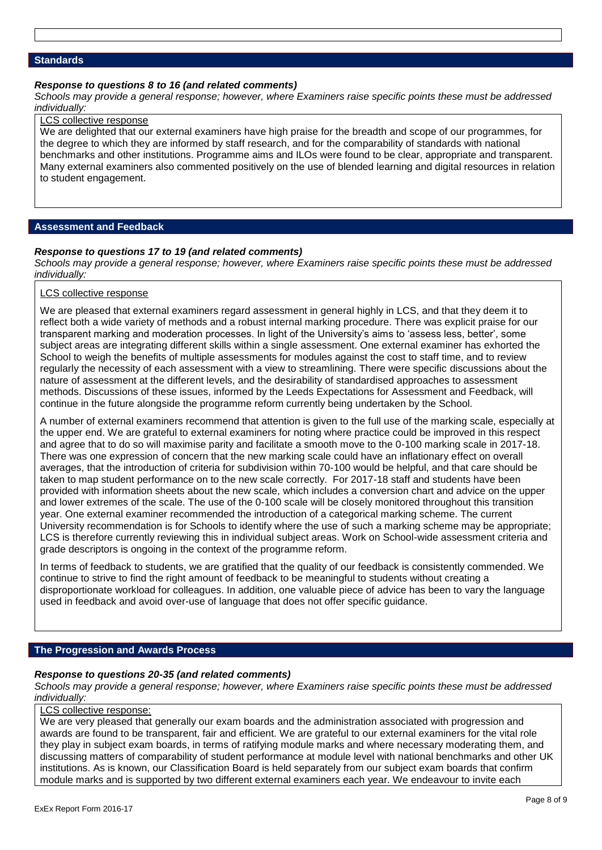# **Standards**

### *Response to questions 8 to 16 (and related comments)*

*Schools may provide a general response; however, where Examiners raise specific points these must be addressed individually:*

# LCS collective response

We are delighted that our external examiners have high praise for the breadth and scope of our programmes, for the degree to which they are informed by staff research, and for the comparability of standards with national benchmarks and other institutions. Programme aims and ILOs were found to be clear, appropriate and transparent. Many external examiners also commented positively on the use of blended learning and digital resources in relation to student engagement.

### **Assessment and Feedback**

### *Response to questions 17 to 19 (and related comments)*

*Schools may provide a general response; however, where Examiners raise specific points these must be addressed individually:*

### LCS collective response

We are pleased that external examiners regard assessment in general highly in LCS, and that they deem it to reflect both a wide variety of methods and a robust internal marking procedure. There was explicit praise for our transparent marking and moderation processes. In light of the University's aims to 'assess less, better', some subject areas are integrating different skills within a single assessment. One external examiner has exhorted the School to weigh the benefits of multiple assessments for modules against the cost to staff time, and to review regularly the necessity of each assessment with a view to streamlining. There were specific discussions about the nature of assessment at the different levels, and the desirability of standardised approaches to assessment methods. Discussions of these issues, informed by the Leeds Expectations for Assessment and Feedback, will continue in the future alongside the programme reform currently being undertaken by the School.

A number of external examiners recommend that attention is given to the full use of the marking scale, especially at the upper end. We are grateful to external examiners for noting where practice could be improved in this respect and agree that to do so will maximise parity and facilitate a smooth move to the 0-100 marking scale in 2017-18. There was one expression of concern that the new marking scale could have an inflationary effect on overall averages, that the introduction of criteria for subdivision within 70-100 would be helpful, and that care should be taken to map student performance on to the new scale correctly. For 2017-18 staff and students have been provided with information sheets about the new scale, which includes a conversion chart and advice on the upper and lower extremes of the scale. The use of the 0-100 scale will be closely monitored throughout this transition year. One external examiner recommended the introduction of a categorical marking scheme. The current University recommendation is for Schools to identify where the use of such a marking scheme may be appropriate; LCS is therefore currently reviewing this in individual subject areas. Work on School-wide assessment criteria and grade descriptors is ongoing in the context of the programme reform.

In terms of feedback to students, we are gratified that the quality of our feedback is consistently commended. We continue to strive to find the right amount of feedback to be meaningful to students without creating a disproportionate workload for colleagues. In addition, one valuable piece of advice has been to vary the language used in feedback and avoid over-use of language that does not offer specific guidance.

### **The Progression and Awards Process**

### *Response to questions 20-35 (and related comments)*

*Schools may provide a general response; however, where Examiners raise specific points these must be addressed individually:*

### LCS collective response:

We are very pleased that generally our exam boards and the administration associated with progression and awards are found to be transparent, fair and efficient. We are grateful to our external examiners for the vital role they play in subject exam boards, in terms of ratifying module marks and where necessary moderating them, and discussing matters of comparability of student performance at module level with national benchmarks and other UK institutions. As is known, our Classification Board is held separately from our subject exam boards that confirm module marks and is supported by two different external examiners each year. We endeavour to invite each